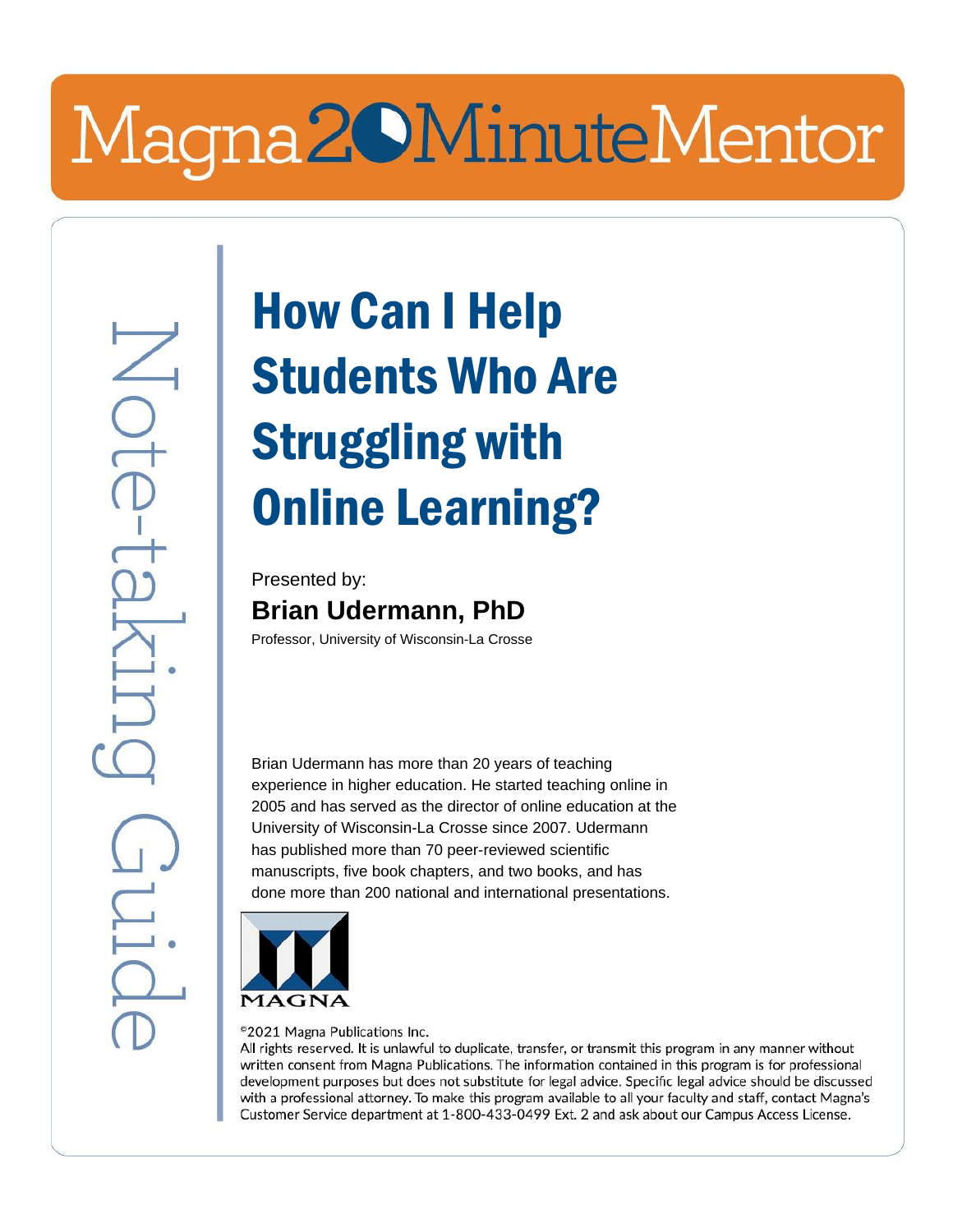# Magna20MinuteMentor

## How Can I Help Students Who Are Struggling with Online Learning?

Presented by: **Brian Udermann, PhD**

Professor, University of Wisconsin-La Crosse

Brian Udermann has more than 20 years of teaching experience in higher education. He started teaching online in 2005 and has served as the director of online education at the University of Wisconsin-La Crosse since 2007. Udermann has published more than 70 peer-reviewed scientific manuscripts, five book chapters, and two books, and has done more than 200 national and international presentations.



©2021 Magna Publications Inc.

All rights reserved. It is unlawful to duplicate, transfer, or transmit this program in any manner without written consent from Magna Publications. The information contained in this program is for professional development purposes but does not substitute for legal advice. Specific legal advice should be discussed with a professional attorney. To make this program available to all your faculty and staff, contact Magna's Customer Service department at 1-800-433-0499 Ext. 2 and ask about our Campus Access License.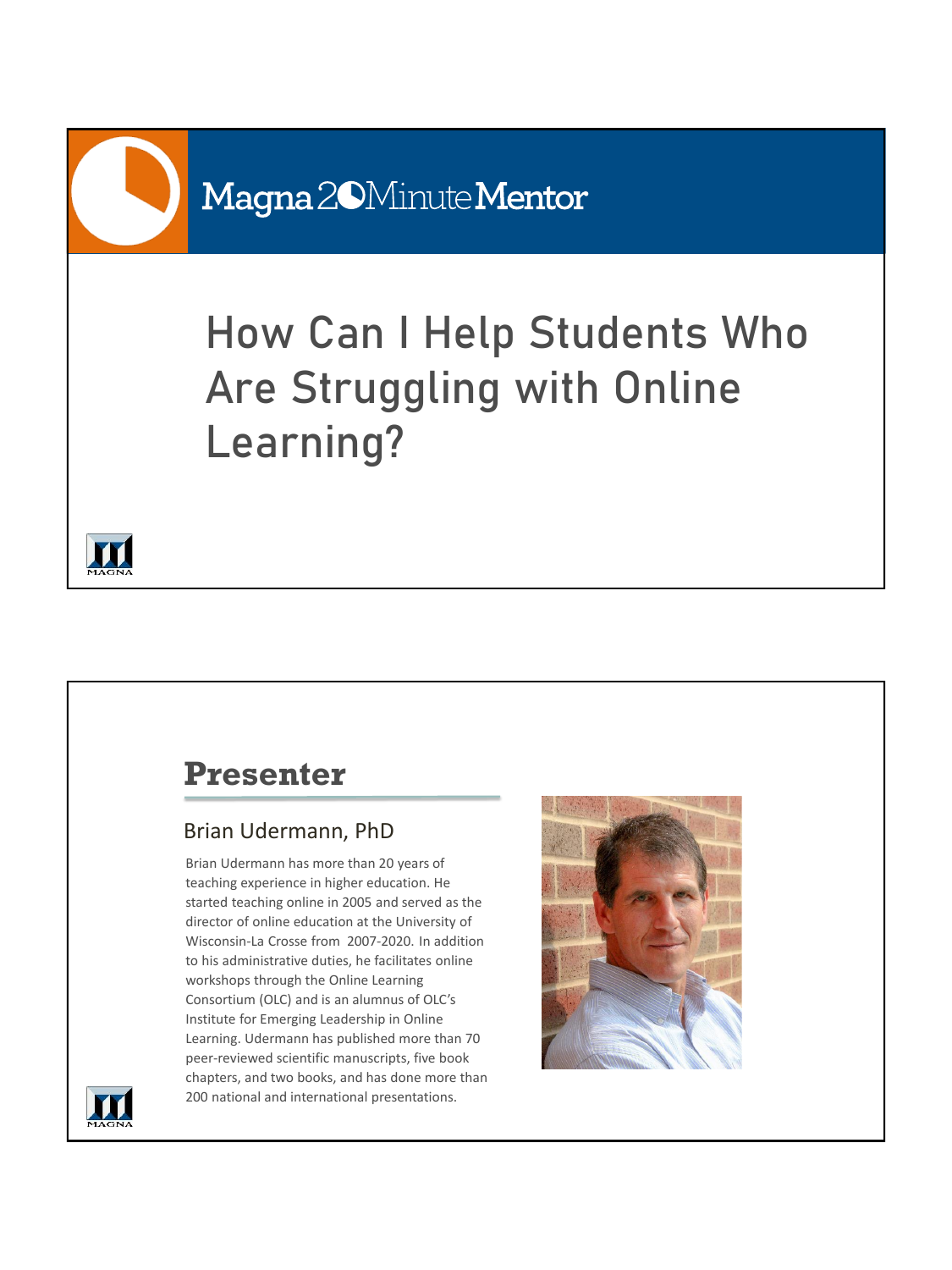### How Can I Help Students Who Are Struggling with Online Learning?



#### **Presenter**

#### Brian Udermann, PhD

Brian Udermann has more than 20 years of teaching experience in higher education. He started teaching online in 2005 and served as the director of online education at the University of Wisconsin-La Crosse from 2007-2020. In addition to his administrative duties, he facilitates online workshops through the Online Learning Consortium (OLC) and is an alumnus of OLC's Institute for Emerging Leadership in Online Learning. Udermann has published more than 70 peer-reviewed scientific manuscripts, five book chapters, and two books, and has done more than 200 national and international presentations.



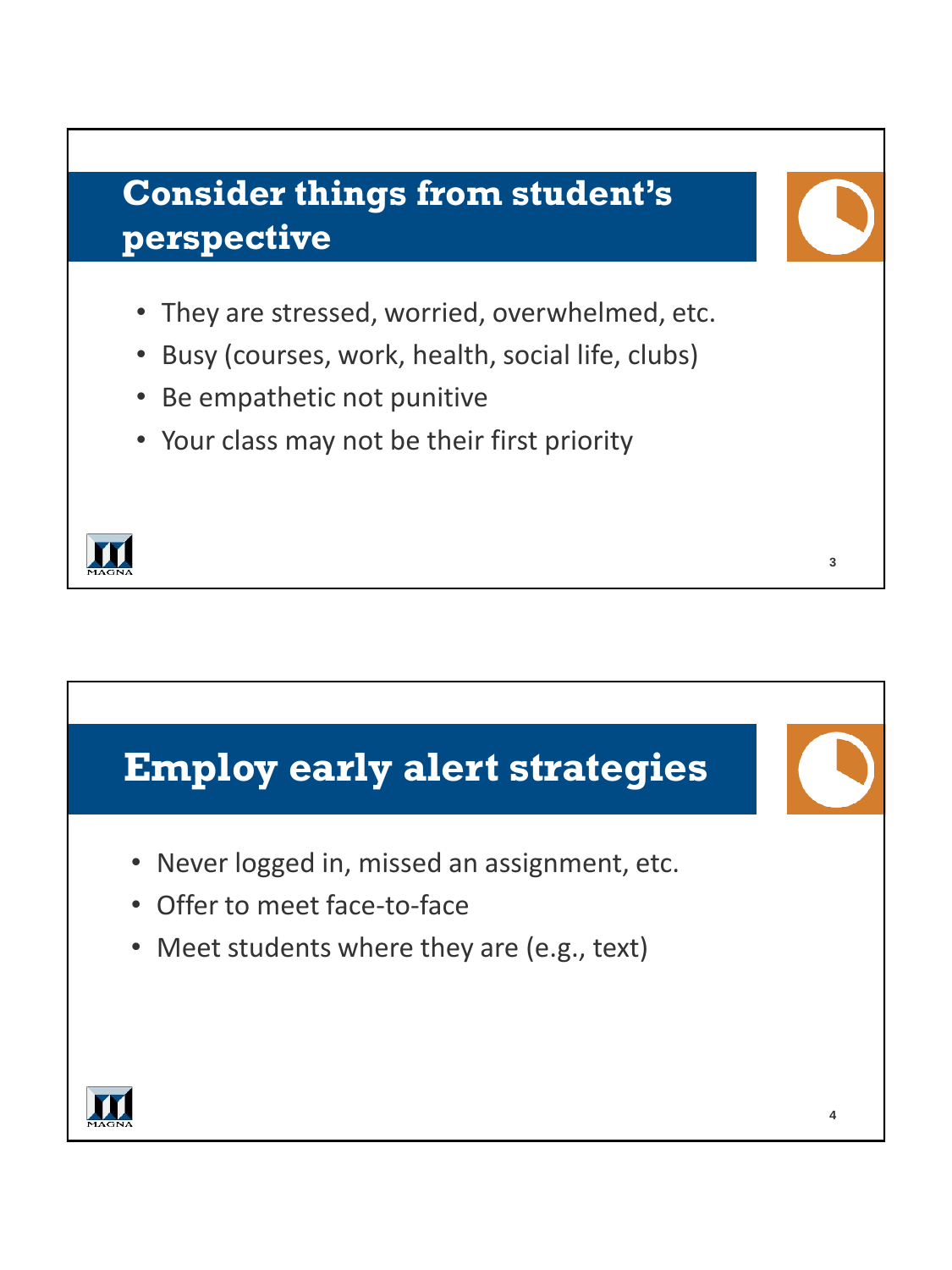

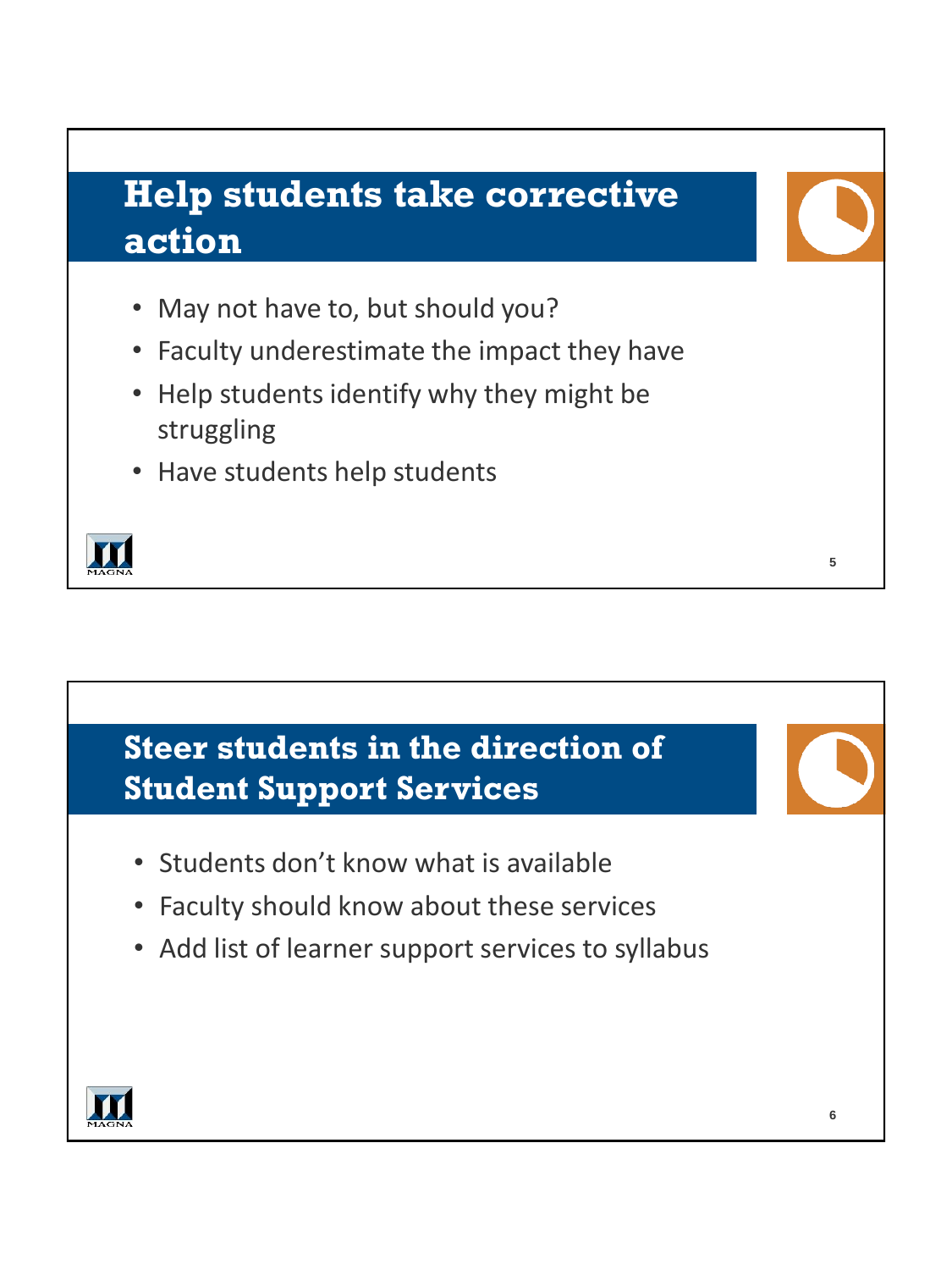#### **Help students take corrective action**

- May not have to, but should you?
- Faculty underestimate the impact they have
- Help students identify why they might be struggling
- Have students help students



#### **Steer students in the direction of Student Support Services**

- Students don't know what is available
- Faculty should know about these services
- Add list of learner support services to syllabus



**5**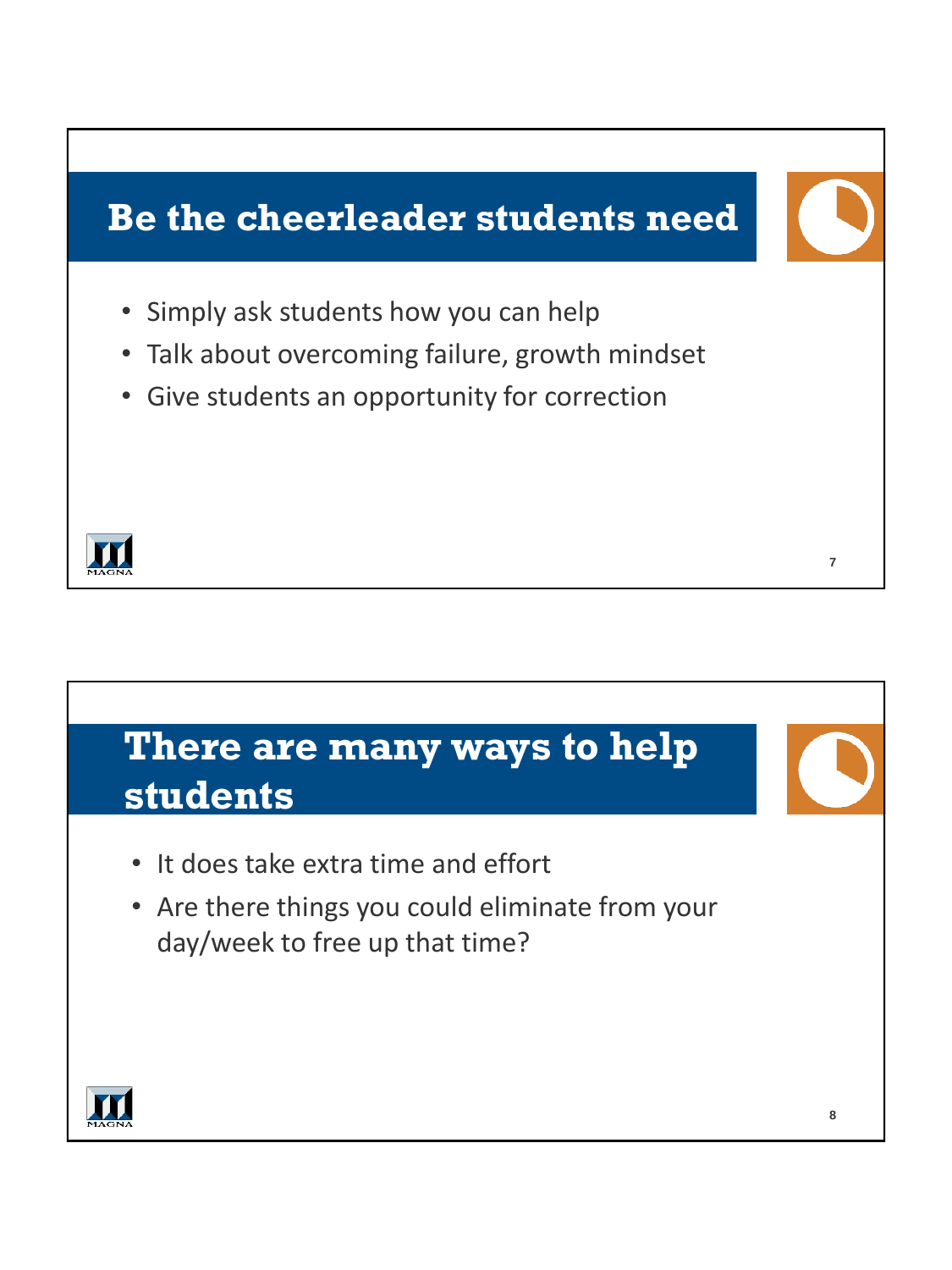